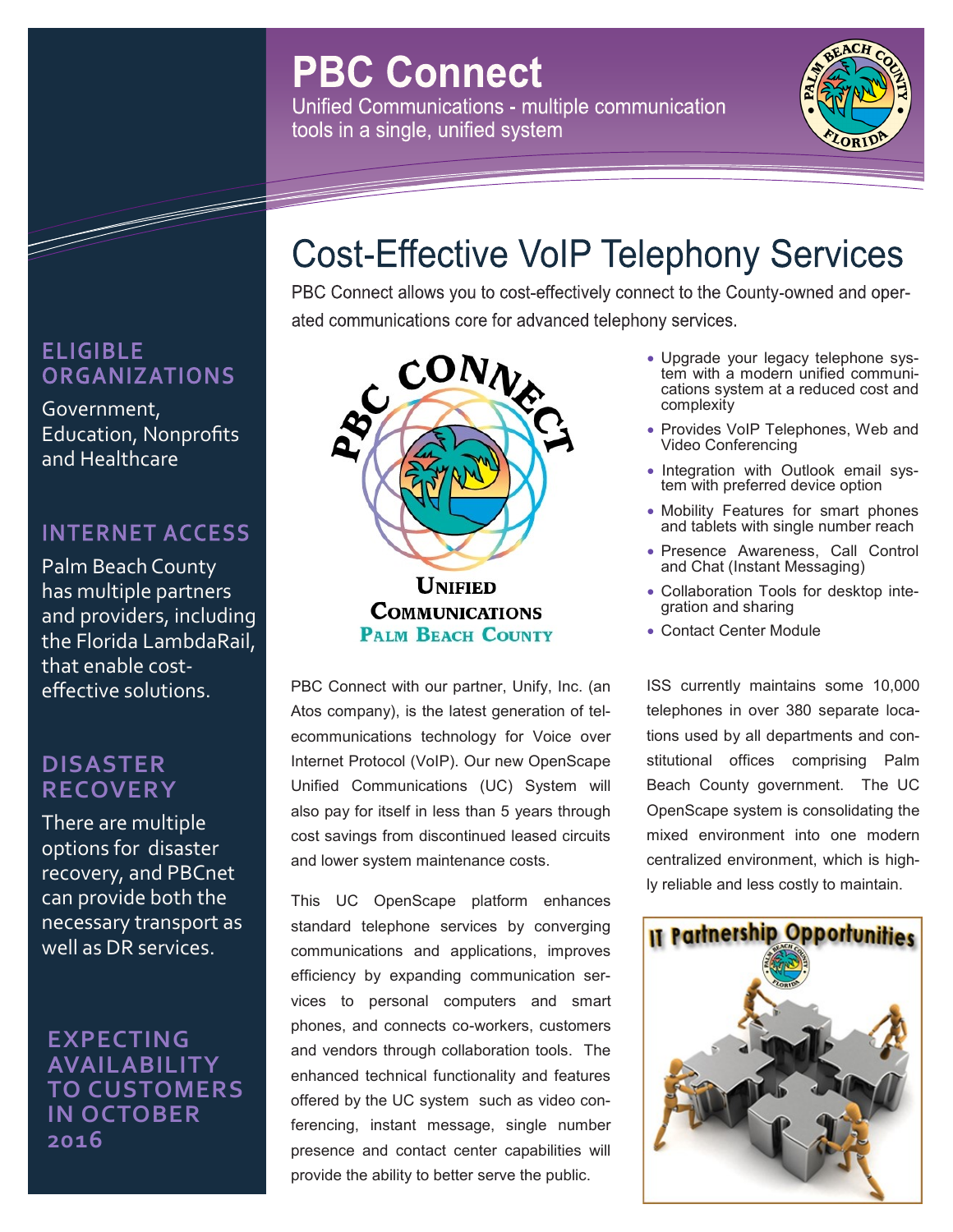# **PBC Connect**

Unified Communications - multiple communication tools in a single, unified system



## **ELIGIBLE ORGANIZATIONS**

and the second contract of the second contract of the second contract of the second contract of the second contract of the second contract of the second contract of the second contract of the second contract of the second

Government, Education, Nonprofits and Healthcare

### **INTERNET ACCESS**

Palm Beach County has multiple partners and providers, including the Florida LambdaRail, that enable costeffective solutions.

#### **DISASTER RECOVERY**

There are multiple options for disaster recovery, and PBCnet can provide both the necessary transport as well as DR services.

**EXPECTING AVAILABILITY TO CUSTOMERS IN OCTOBER 2016**

# PBC Connect allows you to cost-effectively connect to the County-owned and operated communications core for advanced telephony services.

**Cost-Effective VoIP Telephony Services** 



**UNIFIED COMMUNICATIONS PALM BEACH COUNTY** 

PBC Connect with our partner, Unify, Inc. (an Atos company), is the latest generation of telecommunications technology for Voice over Internet Protocol (VoIP). Our new OpenScape Unified Communications (UC) System will also pay for itself in less than 5 years through cost savings from discontinued leased circuits and lower system maintenance costs.

This UC OpenScape platform enhances standard telephone services by converging communications and applications, improves efficiency by expanding communication services to personal computers and smart phones, and connects co-workers, customers and vendors through collaboration tools. The enhanced technical functionality and features offered by the UC system such as video conferencing, instant message, single number presence and contact center capabilities will provide the ability to better serve the public.

- Upgrade your legacy telephone system with a modern unified communications system at a reduced cost and complexity
- Provides VoIP Telephones, Web and Video Conferencing
- Integration with Outlook email system with preferred device option
- Mobility Features for smart phones and tablets with single number reach
- Presence Awareness, Call Control and Chat (Instant Messaging)
- Collaboration Tools for desktop integration and sharing
- Contact Center Module

ISS currently maintains some 10,000 telephones in over 380 separate locations used by all departments and constitutional offices comprising Palm Beach County government. The UC OpenScape system is consolidating the mixed environment into one modern centralized environment, which is highly reliable and less costly to maintain.